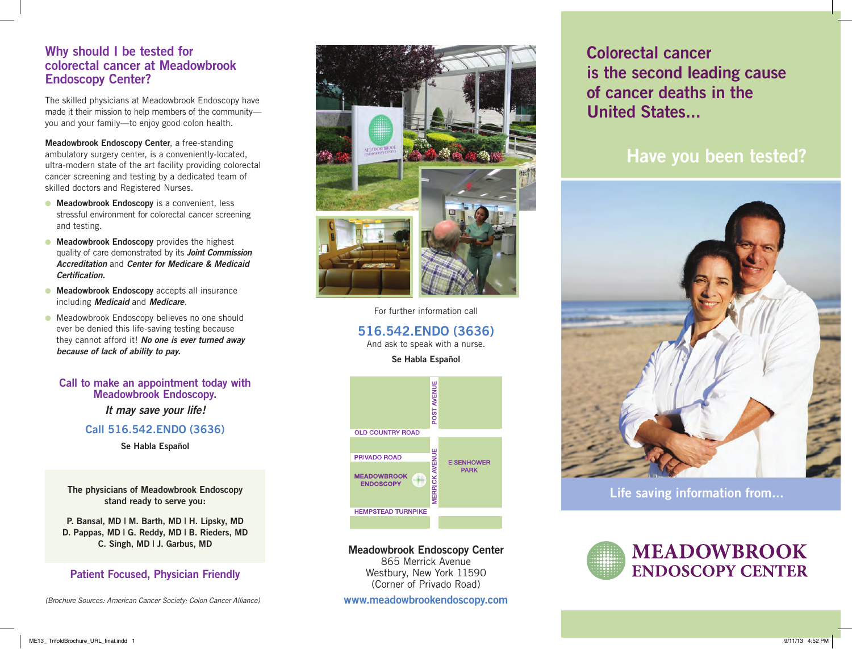# **Why should I be tested for colorectal cancer at Meadowbrook Endoscopy Center?**

The skilled physicians at Meadowbrook Endoscopy have made it their mission to help members of the community you and your family—to enjoy good colon health.

**Meadowbrook Endoscopy Center**, a free-standing ambulatory surgery center, is a conveniently-located, ultra-modern state of the art facility providing colorectal cancer screening and testing by a dedicated team of skilled doctors and Registered Nurses.

- **Meadowbrook Endoscopy** is a convenient, less stressful environment for colorectal cancer screening and testing.
- **Meadowbrook Endoscopy** provides the highest quality of care demonstrated by its *Joint Commission Accreditation* and *Center for Medicare & Medicaid Certification.*
- **Meadowbrook Endoscopy** accepts all insurance including *Medicaid* and *Medicare*.
- **.** Meadowbrook Endoscopy believes no one should ever be denied this life-saving testing because they cannot afford it! *No one is ever turned away because of lack of ability to pay.*

#### **Call to make an appointment today with Meadowbrook Endoscopy.**

*It may save your life!* 

### **Call 516.542.ENDO (3636)**

**Se Habla Español**

**The physicians of Meadowbrook Endoscopy stand ready to serve you:**

**P. Bansal, MD | M. Barth, MD | H. Lipsky, MD D. Pappas, MD | G. Reddy, MD | B. Rieders, MD C. Singh, MD | J. Garbus, MD**

### **Patient Focused, Physician Friendly**

*(Brochure Sources: American Cancer Society; Colon Cancer Alliance)*



For further information call

**516.542.ENDO (3636)**

And ask to speak with a nurse.

**Se Habla Español**



**Meadowbrook Endoscopy Center**  865 Merrick Avenue Westbury, New York 11590 (Corner of Privado Road)

**www.meadowbrookendoscopy.com**

**Colorectal cancer is the second leading cause of cancer deaths in the United States...**

# **Have you been tested?**



**Life saving information from...**